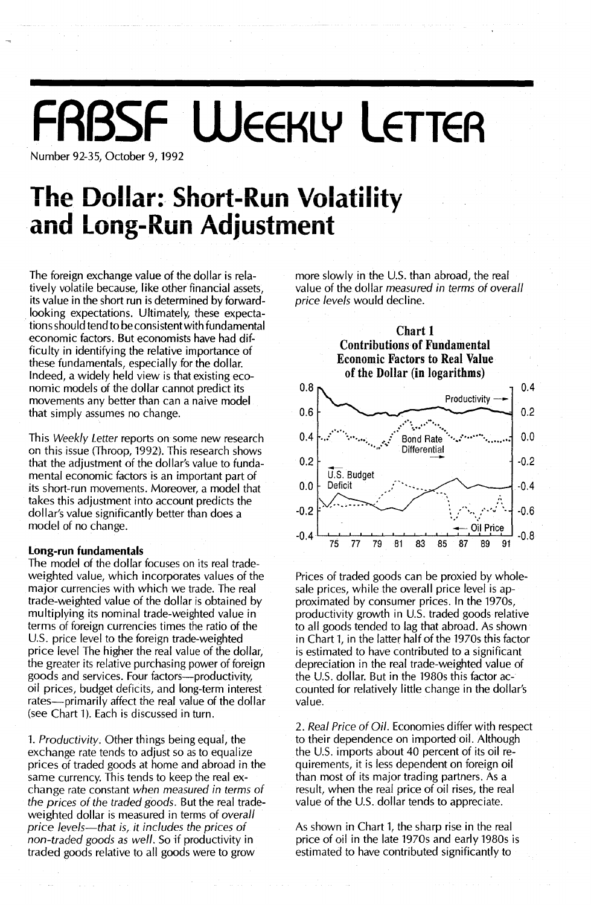# **FRBSF WEEKLY LETTEA**

Number 92-35, October 9, 1992

## **The Dollar: Short-Run Volatility and Long-Run Adjustment**

The foreign exchange value of the dollar is relatively volatile because, like other financial assets, its value in the short run is determined by forwardlooking expectations. Ultimately, these expectations should tend to be consistent with fundamental economic factors. But economists have had difficulty in identifying the relative importance of these fundamentals, especially for the dollar. Indeed, a widely held view is that existing economic models of the dollar cannot predict its movements any better than can a naive model that simply assumes no change.

This *Weekly Letter* reports on some new research on this issue (Throop, 1992). This research shows that the adjustment of the dollar's value to fundamental economic factors is an important part of its short-run movements. Moreover, a model that takes this adjustment into account predicts the dollar's value significantly better than does a model of no change.

## Long-run fundamentals

The model of the dollar focuses on its real tradeweighted value, which incorporates values of the major currencies with which we trade. The real trade-weighted value of the dollar is obtained by multiplying its nominal trade-weighted value in terms of foreign currencies times the ratio of the U.S. price level to the foreign trade-weighted price *level* The higher the real value of the dollar, the greater its relative purchasing power of foreign goods and services. Four factors-productivity, oil prices, budget deficits, and long-term interest rates-primarily affect the real value of the dollar (see Chart 1). Each is discussed in turn.

1. *Productivity.* Other things being equal, the exchange rate tends to adjust so as to equalize prices of traded goods at home and abroad in the same currency. This tends to keep the real exchange rate constant *when measured in terms of the prices of the traded goods.* But the real tradeweighted dollar is measured in terms of *overall price levels-that is, it includes the prices of non-traded goods* as *well.* So if productivity in traded goods relative to all goods were to grow

more slowly in the U.S. than abroad, the real value of the dollar *measured in terms of overall price levels* would decline.



Prices of traded goods can be proxied by wholesale prices, while the overall price level is approximated by consumer prices. In the 1970s, productivity growth in U.s. traded goods relative to all goods tended to lag that abroad. As shown in Chart 1, in the latter half of the 1970s this factor is estimated to have contributed to a significant depreciation in the real trade-weighted value of the U.S. dollar. But in the 1980s this factor accounted for relatively little change in the dollar's value.

*2. Real Price of Oil.* Economies differ with respect to their dependence on imported oil. Although the U.S. imports about 40 percent of its oil requirements, it is less dependent on foreign oil than most of its major trading partners. As a result, when the real price of oil rises, the real value of the U.S. dollar tends to appreciate.

As shown in Chart 1, the sharp rise in the real price of oil in the late 1970s and early 1980s is estimated to have contributed significantly to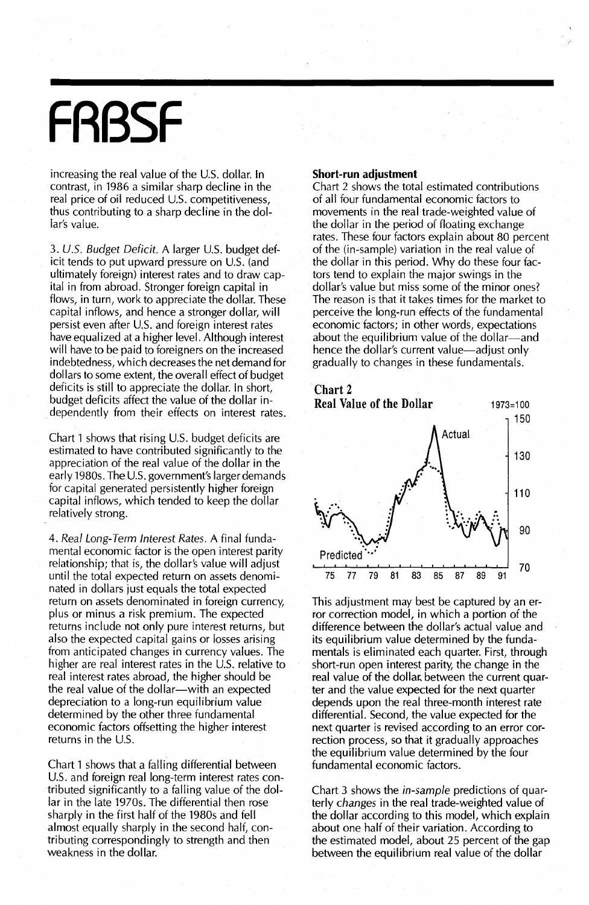# **FRBSF**

increasing the real value of the U.s. dollar. In contrast, in 1986 a similar sharp decline in the real price of oil reduced U.S. competitiveness, thus contributing to a sharp decline in the dollar's value.

3. U.S. Budget Deficit. A larger U.S. budget deficit tends to put upward pressure on U.S. (and ultimately foreign) interest rates and to draw capital in from abroad. Stronger foreign capital in flows, in turn, work to appreciate the dollar. These capital inflows, and hence a stronger dollar, will persist even after U.S. and foreign interest rates have equalized at a higher level. Although interest will have to be paid to foreigners on the increased indebtedness, which decreases the net demand for dollars to some extent, the overall effect of budget deficits is still to appreciate the dollar. In short, budget deficits affect the value of the dollar independently from their effects on interest rates.

Chart 1 shows that rising U.s. budget deficits are estimated to have contributed significantly to the appreciation of the real value of the dollar in the early 1980s. The U.S. government's larger demands for capital generated persistently higher foreign capital inflows, which tended to keep the dollar relatively strong.

4. Real Long-Term Interest Rates. A final fundamental economic factor is the open interest parity relationship; that is, the dollar's value will adjust until the total expected return on assets denominated in dollars just equals the total expected return on assets denominated in foreign currency, plus or minus a risk premium. The expected returns include not only pure interest returns, but also the expected capital gains or losses arising from anticipated changes in currency values. The higher are real interest rates in the U.S. relative to real interest rates abroad, the higher should be the real value of the dollar-with an expected depreciation to a long-run equilibrium value determined by the other three fundamental economic factors offsetting the higher interest returns in the U.S.

Chart 1 shows that a falling differential between U.S. and foreign real long-term interest rates contributed significantly to a falling value of the dollar in the late 1970s. The differential then rose sharply in the first half of the 1980s and fell almost equally sharply in the second half, contributing correspondingly to strength and then weakness in the dollar.

#### Short-run adjustment

Chart 2 shows the total estimated contributions of all four fundamental economic factors to movements in the real trade-weighted value of the dollar in the period of floating exchange rates. These four factors explain about 80 percent of the (in-sample) variation in the real value of the dollar in this period. Why do these four factors tend to explain the major swings in the dollar's value but miss some of the minor ones? The reason is that it takes times for the market to perceive the long-run effects of the fundamental economic factors; in other words, expectations about the equilibrium value of the dollar-and hence the dollar's current value—adjust only gradually tochanges in these fundamentals.



This adjustment may best be captured by an error correction model, in which a portion of the difference between the dollar's actual value and its equilibrium value determined by the fundamentals is eliminated each quarter. First, through short-run open interest parity, the change in the real value of the dollar. between the current quarter and the value expected for the next quarter depends upon the real three-month interest rate differential. Second, the value expected for the next quarter is revised according to an error correction process, so that it gradually approaches the equilibrium value determined by the four fundamental economic factors.

Chart 3 shows the in-sample predictions of quarterly changes in the real trade-weighted value of the dollar according to this model, which explain about one half of their variation. According to the estimated model, about 25 percent of the gap between the equilibrium real value of the dollar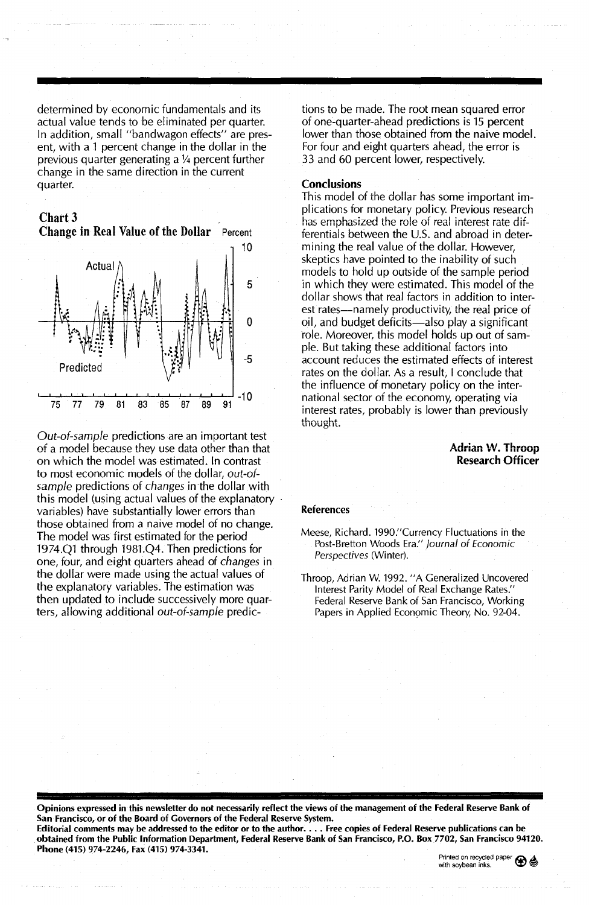determined by economic fundamentals and its actual value tends to be eliminated per quarter. In addition, small "bandwagon effects" are present, with a 1 percent change in the dollar in the previous quarter generating a  $\frac{1}{4}$  percent further change in the same direction in the current quarter.





Out-of-sample predictions are an important test of a model because they use data other than that on which the model was estimated. In contrast to most economic models of the dollar, out-ofsample predictions of changes in the dollar with this model (using actual values of the explanatory variables) have substantially lower errors than those obtained from a naive model of no change. The model was first estimated for the period 1974.Q1 through 1981.Q4. Then predictions for one, four, and eight quarters ahead of changes in the dollar were made using the actual values of the explanatory variables. The estimation was then updated to include successively more quarters, allowing additional out-of-sample predic-

Phone (415) 974-2246, Fax (415) 974-3341.

tions to be made. The root mean squared error of one-quarter-ahead predictions is 15 percent lower than those obtained from the naive model. For four and eight quarters ahead, the error is 33 and 60 percent lower, respectively.

#### **Conclusions**

This model of the dollar has some important implications for monetary policy. Previous research has emphasized the role of real interest rate differentials between the U.S. and abroad in determining the real value of the dollar. However, skeptics have pointed to the inability of such models to hold up outside of the sample period in which they were estimated. This model of the dollar shows that real factors in addition to interest rates-namely productivity, the real price of oil, and budget deficits-also play a significant role. Moreover, this model holds up out of sample. But taking these additional factors into account reduces the estimated effects of interest rates on the dollar. As a result, I conclude that the influence of monetary policy on the international sector of the economy, operating via interest rates, probably is lower than previously thought.

#### Adrian w. Throop Research Officer

#### References

Meese, Richard. 1990."Currency Fluctuations in the Post-Bretton Woods Era." Journal of Economic Perspectives (Winter).

Throop, Adrian W. 1992. "A Generalized Uncovered Interest Parity Model of Real Exchange Rates." Federal Reserve Bank of San Francisco, Working Papers in Applied Economic Theory, No. 92-04.

Opinions expressed in this newsletter do not necessarily reflect the views of the management of the Federal Reserve Bank of San Francisco, or of the Board of Governors of the Federal Reserve System. Editorial comments may be addressed to the editor or to the author.... Free copies of Federal Reserve publications can be obtained from the Public Information Department, Federal Reserve Bank of San Francisco, P.O. Box7702, San Francisco 94120.

Printed on recycled paper  $\bigcircled{e}$